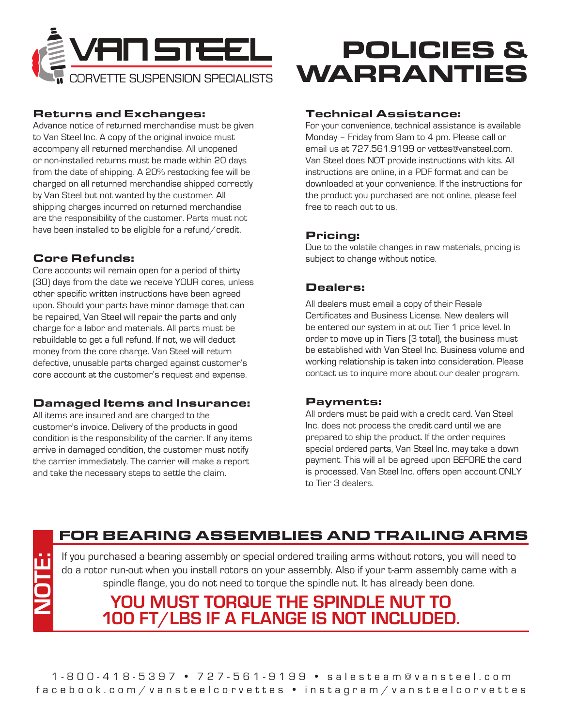

### Returns and Exchanges:

Advance notice of returned merchandise must be given to Van Steel Inc. A copy of the original invoice must accompany all returned merchandise. All unopened or non-installed returns must be made within 20 days from the date of shipping. A 20% restocking fee will be charged on all returned merchandise shipped correctly by Van Steel but not wanted by the customer. All shipping charges incurred on returned merchandise are the responsibility of the customer. Parts must not have been installed to be eligible for a refund/credit.

# Core Refunds:

Core accounts will remain open for a period of thirty (30) days from the date we receive YOUR cores, unless other specific written instructions have been agreed upon. Should your parts have minor damage that can be repaired, Van Steel will repair the parts and only charge for a labor and materials. All parts must be rebuildable to get a full refund. If not, we will deduct money from the core charge. Van Steel will return defective, unusable parts charged against customer's core account at the customer's request and expense.

### Damaged Items and Insurance:

All items are insured and are charged to the customer's invoice. Delivery of the products in good condition is the responsibility of the carrier. If any items arrive in damaged condition, the customer must notify the carrier immediately. The carrier will make a report and take the necessary steps to settle the claim.

# POLICIES & WARRANTIES

### Technical Assistance:

For your convenience, technical assistance is available Monday – Friday from 9am to 4 pm. Please call or email us at 727.561.9199 or vettes@vansteel.com. Van Steel does NOT provide instructions with kits. All instructions are online, in a PDF format and can be downloaded at your convenience. If the instructions for the product you purchased are not online, please feel free to reach out to us.

# Pricing:

Due to the volatile changes in raw materials, pricing is subject to change without notice.

# Dealers:

All dealers must email a copy of their Resale Certificates and Business License. New dealers will be entered our system in at out Tier 1 price level. In order to move up in Tiers (3 total), the business must be established with Van Steel Inc. Business volume and working relationship is taken into consideration. Please contact us to inquire more about our dealer program.

#### Payments:

All orders must be paid with a credit card. Van Steel Inc. does not process the credit card until we are prepared to ship the product. If the order requires special ordered parts, Van Steel Inc. may take a down payment. This will all be agreed upon BEFORE the card is processed. Van Steel Inc. offers open account ONLY to Tier 3 dealers.

# FOR BEARING ASSEMBLIES AND TRAILING ARMS

If you purchased a bearing assembly or special ordered trailing arms without rotors, you will need to do a rotor run-out when you install rotors on your assembly. Also if your t-arm assembly came with a spindle flange, you do not need to torque the spindle nut. It has already been done. From purchased a bearing assembly or special ordered trailing arms without rotors, you will need to<br>do a rotor run-out when you install rotors on your assembly. Also if your t-arm assembly came with a<br>spindle flange, you d

# **YOU MUST TORQUE THE SPINDLE NUT TO 100 FT/LBS IF A FLANGE IS NOT INCLUDED.**

1-800-418-5397 • 727-561-9199 • salesteam@vansteel.com